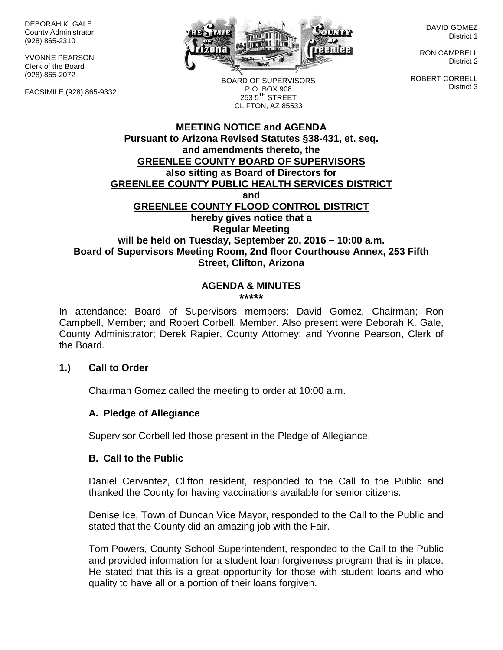DEBORAH K. GALE County Administrator (928) 865-2310

YVONNE PEARSON Clerk of the Board (928) 865-2072

FACSIMILE (928) 865-9332



DAVID GOMEZ District 1

RON CAMPBELL District 2

ROBERT CORBELL District 3

BOARD OF SUPERVISORS P.O. BOX 908  $253.5$ <sup>TH</sup> STREET CLIFTON, AZ 85533

## **MEETING NOTICE and AGENDA Pursuant to Arizona Revised Statutes §38-431, et. seq. and amendments thereto, the GREENLEE COUNTY BOARD OF SUPERVISORS also sitting as Board of Directors for GREENLEE COUNTY PUBLIC HEALTH SERVICES DISTRICT and GREENLEE COUNTY FLOOD CONTROL DISTRICT hereby gives notice that a Regular Meeting will be held on Tuesday, September 20, 2016 – 10:00 a.m. Board of Supervisors Meeting Room, 2nd floor Courthouse Annex, 253 Fifth Street, Clifton, Arizona**

#### **AGENDA & MINUTES \*\*\*\*\***

In attendance: Board of Supervisors members: David Gomez, Chairman; Ron Campbell, Member; and Robert Corbell, Member. Also present were Deborah K. Gale, County Administrator; Derek Rapier, County Attorney; and Yvonne Pearson, Clerk of the Board.

### **1.) Call to Order**

Chairman Gomez called the meeting to order at 10:00 a.m.

### **A. Pledge of Allegiance**

Supervisor Corbell led those present in the Pledge of Allegiance.

#### **B. Call to the Public**

Daniel Cervantez, Clifton resident, responded to the Call to the Public and thanked the County for having vaccinations available for senior citizens.

Denise Ice, Town of Duncan Vice Mayor, responded to the Call to the Public and stated that the County did an amazing job with the Fair.

Tom Powers, County School Superintendent, responded to the Call to the Public and provided information for a student loan forgiveness program that is in place. He stated that this is a great opportunity for those with student loans and who quality to have all or a portion of their loans forgiven.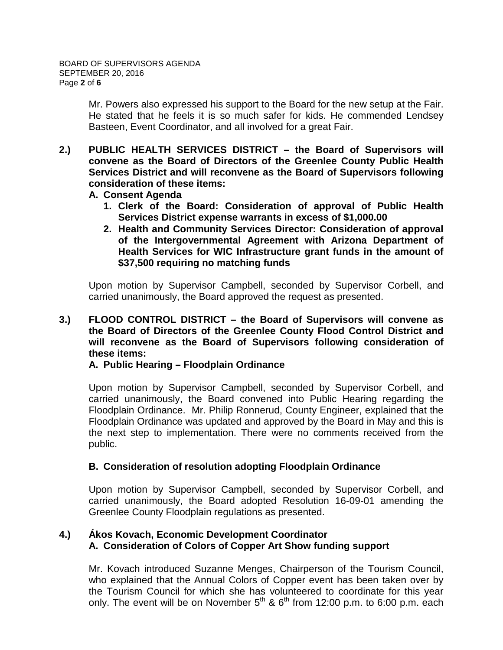Mr. Powers also expressed his support to the Board for the new setup at the Fair. He stated that he feels it is so much safer for kids. He commended Lendsey Basteen, Event Coordinator, and all involved for a great Fair.

- **2.) PUBLIC HEALTH SERVICES DISTRICT – the Board of Supervisors will convene as the Board of Directors of the Greenlee County Public Health Services District and will reconvene as the Board of Supervisors following consideration of these items:**
	- **A. Consent Agenda**
		- **1. Clerk of the Board: Consideration of approval of Public Health Services District expense warrants in excess of \$1,000.00**
		- **2. Health and Community Services Director: Consideration of approval of the Intergovernmental Agreement with Arizona Department of Health Services for WIC Infrastructure grant funds in the amount of \$37,500 requiring no matching funds**

Upon motion by Supervisor Campbell, seconded by Supervisor Corbell, and carried unanimously, the Board approved the request as presented.

### **3.) FLOOD CONTROL DISTRICT – the Board of Supervisors will convene as the Board of Directors of the Greenlee County Flood Control District and will reconvene as the Board of Supervisors following consideration of these items:**

### **A. Public Hearing – Floodplain Ordinance**

Upon motion by Supervisor Campbell, seconded by Supervisor Corbell, and carried unanimously, the Board convened into Public Hearing regarding the Floodplain Ordinance. Mr. Philip Ronnerud, County Engineer, explained that the Floodplain Ordinance was updated and approved by the Board in May and this is the next step to implementation. There were no comments received from the public.

# **B. Consideration of resolution adopting Floodplain Ordinance**

Upon motion by Supervisor Campbell, seconded by Supervisor Corbell, and carried unanimously, the Board adopted Resolution 16-09-01 amending the Greenlee County Floodplain regulations as presented.

# **4.) Ákos Kovach, Economic Development Coordinator A. Consideration of Colors of Copper Art Show funding support**

Mr. Kovach introduced Suzanne Menges, Chairperson of the Tourism Council, who explained that the Annual Colors of Copper event has been taken over by the Tourism Council for which she has volunteered to coordinate for this year only. The event will be on November  $5<sup>th</sup>$  &  $6<sup>th</sup>$  from 12:00 p.m. to 6:00 p.m. each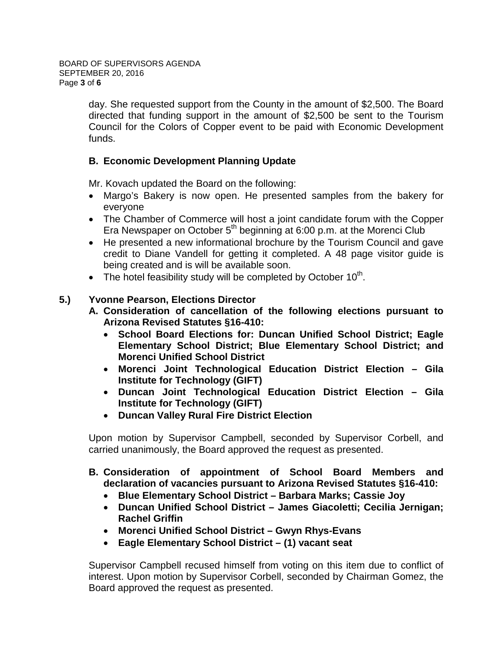day. She requested support from the County in the amount of \$2,500. The Board directed that funding support in the amount of \$2,500 be sent to the Tourism Council for the Colors of Copper event to be paid with Economic Development funds.

# **B. Economic Development Planning Update**

Mr. Kovach updated the Board on the following:

- Margo's Bakery is now open. He presented samples from the bakery for everyone
- The Chamber of Commerce will host a joint candidate forum with the Copper Era Newspaper on October  $5<sup>th</sup>$  beginning at 6:00 p.m. at the Morenci Club
- He presented a new informational brochure by the Tourism Council and gave credit to Diane Vandell for getting it completed. A 48 page visitor guide is being created and is will be available soon.
- The hotel feasibility study will be completed by October  $10^{th}$ .

# **5.) Yvonne Pearson, Elections Director**

- **A. Consideration of cancellation of the following elections pursuant to Arizona Revised Statutes §16-410:**
	- **School Board Elections for: Duncan Unified School District; Eagle Elementary School District; Blue Elementary School District; and Morenci Unified School District**
	- **Morenci Joint Technological Education District Election – Gila Institute for Technology (GIFT)**
	- **Duncan Joint Technological Education District Election – Gila Institute for Technology (GIFT)**
	- **Duncan Valley Rural Fire District Election**

Upon motion by Supervisor Campbell, seconded by Supervisor Corbell, and carried unanimously, the Board approved the request as presented.

- **B. Consideration of appointment of School Board Members and declaration of vacancies pursuant to Arizona Revised Statutes §16-410:**
	- **Blue Elementary School District – Barbara Marks; Cassie Joy**
	- **Duncan Unified School District – James Giacoletti; Cecilia Jernigan; Rachel Griffin**
	- **Morenci Unified School District – Gwyn Rhys-Evans**
	- **Eagle Elementary School District – (1) vacant seat**

Supervisor Campbell recused himself from voting on this item due to conflict of interest. Upon motion by Supervisor Corbell, seconded by Chairman Gomez, the Board approved the request as presented.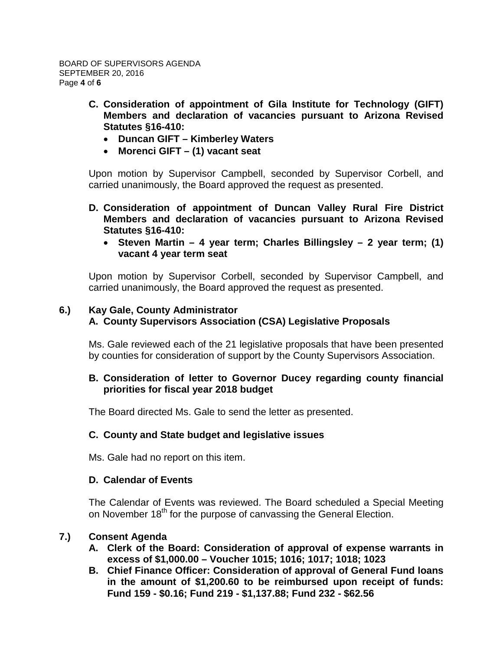- **C. Consideration of appointment of Gila Institute for Technology (GIFT) Members and declaration of vacancies pursuant to Arizona Revised Statutes §16-410:**
	- **Duncan GIFT – Kimberley Waters**
	- **Morenci GIFT – (1) vacant seat**

Upon motion by Supervisor Campbell, seconded by Supervisor Corbell, and carried unanimously, the Board approved the request as presented.

- **D. Consideration of appointment of Duncan Valley Rural Fire District Members and declaration of vacancies pursuant to Arizona Revised Statutes §16-410:**
	- **Steven Martin – 4 year term; Charles Billingsley – 2 year term; (1) vacant 4 year term seat**

Upon motion by Supervisor Corbell, seconded by Supervisor Campbell, and carried unanimously, the Board approved the request as presented.

### **6.) Kay Gale, County Administrator A. County Supervisors Association (CSA) Legislative Proposals**

Ms. Gale reviewed each of the 21 legislative proposals that have been presented by counties for consideration of support by the County Supervisors Association.

# **B. Consideration of letter to Governor Ducey regarding county financial priorities for fiscal year 2018 budget**

The Board directed Ms. Gale to send the letter as presented.

### **C. County and State budget and legislative issues**

Ms. Gale had no report on this item.

### **D. Calendar of Events**

The Calendar of Events was reviewed. The Board scheduled a Special Meeting on November 18<sup>th</sup> for the purpose of canvassing the General Election.

### **7.) Consent Agenda**

- **A. Clerk of the Board: Consideration of approval of expense warrants in excess of \$1,000.00 – Voucher 1015; 1016; 1017; 1018; 1023**
- **B. Chief Finance Officer: Consideration of approval of General Fund loans in the amount of \$1,200.60 to be reimbursed upon receipt of funds: Fund 159 - \$0.16; Fund 219 - \$1,137.88; Fund 232 - \$62.56**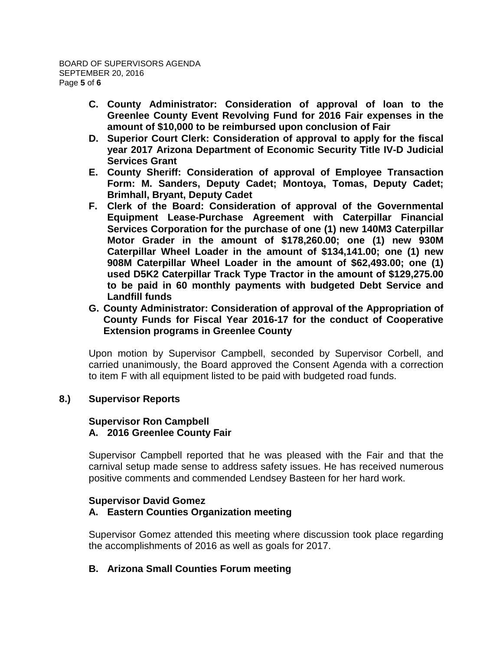- **C. County Administrator: Consideration of approval of loan to the Greenlee County Event Revolving Fund for 2016 Fair expenses in the amount of \$10,000 to be reimbursed upon conclusion of Fair**
- **D. Superior Court Clerk: Consideration of approval to apply for the fiscal year 2017 Arizona Department of Economic Security Title IV-D Judicial Services Grant**
- **E. County Sheriff: Consideration of approval of Employee Transaction Form: M. Sanders, Deputy Cadet; Montoya, Tomas, Deputy Cadet; Brimhall, Bryant, Deputy Cadet**
- **F. Clerk of the Board: Consideration of approval of the Governmental Equipment Lease-Purchase Agreement with Caterpillar Financial Services Corporation for the purchase of one (1) new 140M3 Caterpillar Motor Grader in the amount of \$178,260.00; one (1) new 930M Caterpillar Wheel Loader in the amount of \$134,141.00; one (1) new 908M Caterpillar Wheel Loader in the amount of \$62,493.00; one (1) used D5K2 Caterpillar Track Type Tractor in the amount of \$129,275.00 to be paid in 60 monthly payments with budgeted Debt Service and Landfill funds**
- **G. County Administrator: Consideration of approval of the Appropriation of County Funds for Fiscal Year 2016-17 for the conduct of Cooperative Extension programs in Greenlee County**

Upon motion by Supervisor Campbell, seconded by Supervisor Corbell, and carried unanimously, the Board approved the Consent Agenda with a correction to item F with all equipment listed to be paid with budgeted road funds.

### **8.) Supervisor Reports**

#### **Supervisor Ron Campbell A. 2016 Greenlee County Fair**

Supervisor Campbell reported that he was pleased with the Fair and that the carnival setup made sense to address safety issues. He has received numerous positive comments and commended Lendsey Basteen for her hard work.

### **Supervisor David Gomez**

# **A. Eastern Counties Organization meeting**

Supervisor Gomez attended this meeting where discussion took place regarding the accomplishments of 2016 as well as goals for 2017.

### **B. Arizona Small Counties Forum meeting**